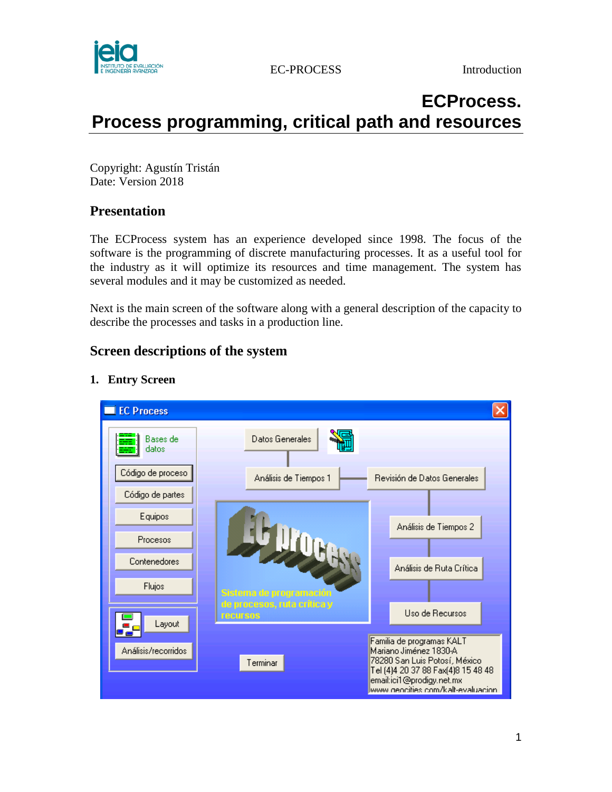

# **ECProcess. Process programming, critical path and resources**

Copyright: Agustín Tristán Date: Version 2018

## **Presentation**

The ECProcess system has an experience developed since 1998. The focus of the software is the programming of discrete manufacturing processes. It as a useful tool for the industry as it will optimize its resources and time management. The system has several modules and it may be customized as needed.

Next is the main screen of the software along with a general description of the capacity to describe the processes and tasks in a production line.

# **Screen descriptions of the system**

## **1. Entry Screen**

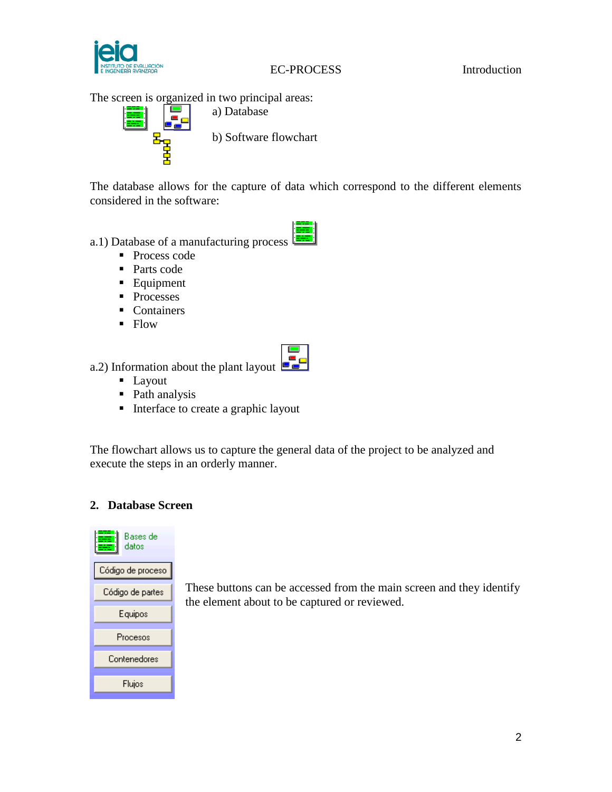

EC-PROCESS Introduction

The screen is organized in two principal areas:



a) Database b) Software flowchart

The database allows for the capture of data which correspond to the different elements considered in the software:

## a.1) Database of a manufacturing process

- Process code
- Parts code
- **Equipment**
- Processes
- Containers
- $\blacksquare$  Flow



a.2) Information about the plant layout  $\Box$ 

- **Layout**
- Path analysis
- Interface to create a graphic layout

The flowchart allows us to capture the general data of the project to be analyzed and execute the steps in an orderly manner.

## **2. Database Screen**



These buttons can be accessed from the main screen and they identify the element about to be captured or reviewed.